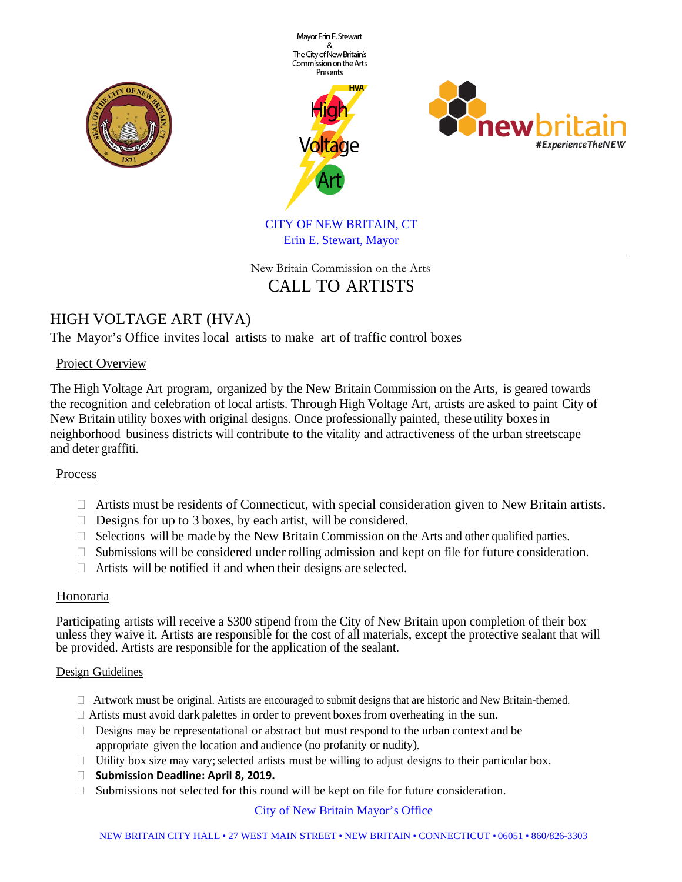

## New Britain Commission on the Arts CALL TO ARTISTS

# HIGH VOLTAGE ART (HVA)

The Mayor's Office invites local artists to make art of traffic control boxes

## Project Overview

The High Voltage Art program, organized by the New Britain Commission on the Arts, is geared towards the recognition and celebration of local artists. Through High Voltage Art, artists are asked to paint City of New Britain utility boxes with original designs. Once professionally painted, these utility boxesin neighborhood business districts will contribute to the vitality and attractiveness of the urban streetscape and deter graffiti.

## Process

- $\Box$  Artists must be residents of Connecticut, with special consideration given to New Britain artists.
- $\Box$  Designs for up to 3 boxes, by each artist, will be considered.
- $\Box$  Selections will be made by the New Britain Commission on the Arts and other qualified parties.
- $\Box$  Submissions will be considered under rolling admission and kept on file for future consideration.
- $\Box$  Artists will be notified if and when their designs are selected.

## Honoraria

Participating artists will receive a \$300 stipend from the City of New Britain upon completion of their box unless they waive it. Artists are responsible for the cost of all materials, except the protective sealant that will be provided. Artists are responsible for the application of the sealant.

#### Design Guidelines

- $\Box$  Artwork must be original. Artists are encouraged to submit designs that are historic and New Britain-themed.
- $\Box$  Artists must avoid dark palettes in order to prevent boxes from overheating in the sun.
- $\Box$  Designs may be representational or abstract but must respond to the urban context and be appropriate given the location and audience (no profanity or nudity).
- $\Box$  Utility box size may vary; selected artists must be willing to adjust designs to their particular box.
- **Submission Deadline: April 8, 2019.**
- $\Box$  Submissions not selected for this round will be kept on file for future consideration.

## City of New Britain Mayor's Office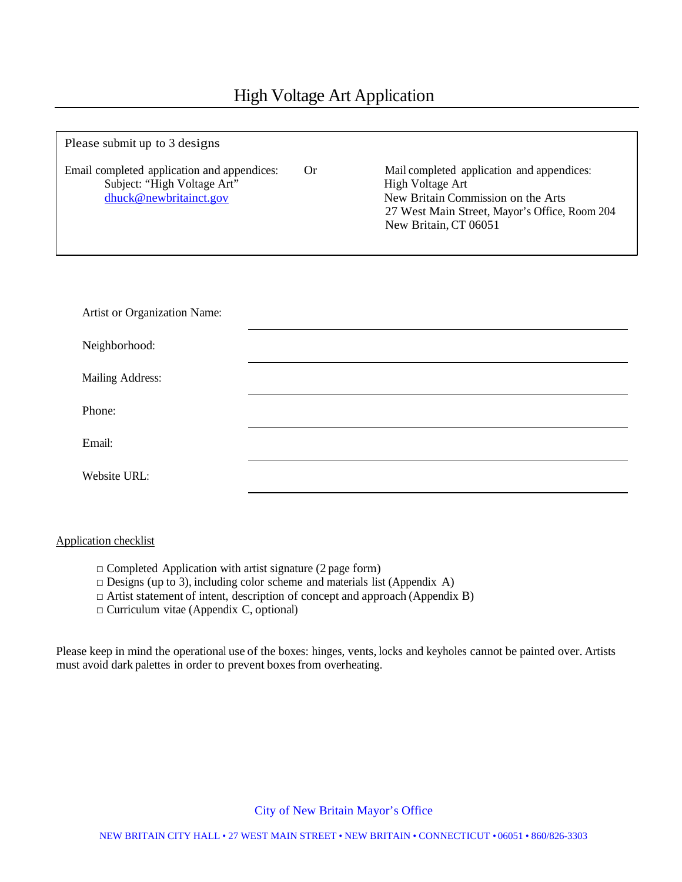| Please submit up to 3 designs                                                                        |    |                                                                                                                                                                                |
|------------------------------------------------------------------------------------------------------|----|--------------------------------------------------------------------------------------------------------------------------------------------------------------------------------|
| Email completed application and appendices:<br>Subject: "High Voltage Art"<br>dhuck@newbritainct.gov | Or | Mail completed application and appendices:<br>High Voltage Art<br>New Britain Commission on the Arts<br>27 West Main Street, Mayor's Office, Room 204<br>New Britain, CT 06051 |
| Artist or Organization Name:                                                                         |    |                                                                                                                                                                                |
|                                                                                                      |    |                                                                                                                                                                                |
| Neighborhood:                                                                                        |    |                                                                                                                                                                                |
| Mailing Address:                                                                                     |    |                                                                                                                                                                                |
| Phone:                                                                                               |    |                                                                                                                                                                                |
| Email:                                                                                               |    |                                                                                                                                                                                |
| Website URL:                                                                                         |    |                                                                                                                                                                                |

#### Application checklist

- $\Box$  Completed Application with artist signature (2 page form)
- $\Box$  Designs (up to 3), including color scheme and materials list (Appendix A)
- $\Box$  Artist statement of intent, description of concept and approach (Appendix B)
- $\Box$  Curriculum vitae (Appendix C, optional)

Please keep in mind the operational use of the boxes: hinges, vents, locks and keyholes cannot be painted over. Artists must avoid dark palettes in order to prevent boxes from overheating.

#### City of New Britain Mayor's Office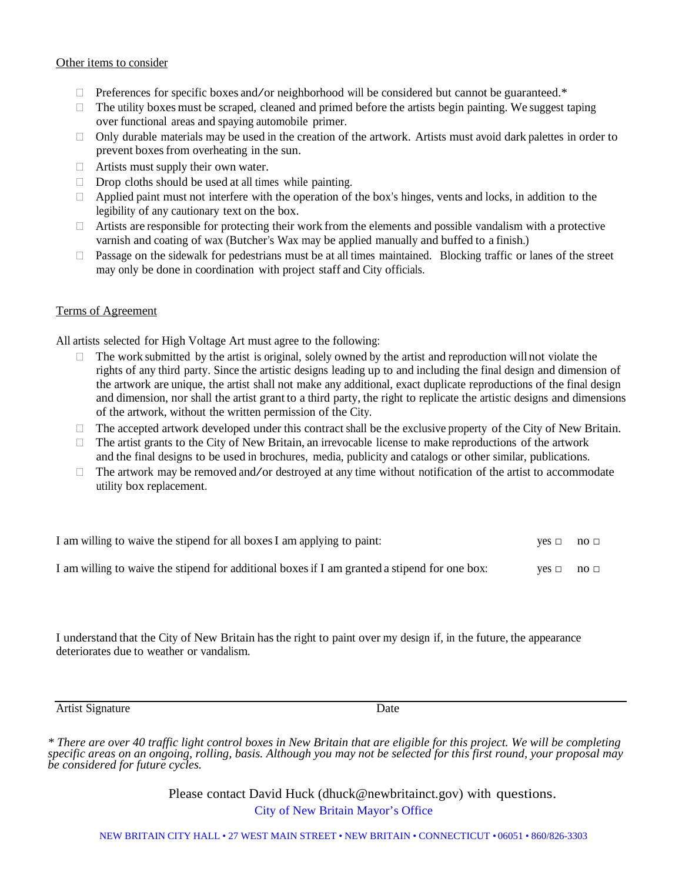#### Other items to consider

- $\Box$  Preferences for specific boxes and/or neighborhood will be considered but cannot be guaranteed.\*
- $\Box$  The utility boxes must be scraped, cleaned and primed before the artists begin painting. We suggest taping over functional areas and spaying automobile primer.
- $\Box$  Only durable materials may be used in the creation of the artwork. Artists must avoid dark palettes in order to prevent boxesfrom overheating in the sun.
- $\Box$  Artists must supply their own water.
- $\Box$  Drop cloths should be used at all times while painting.
- $\Box$  Applied paint must not interfere with the operation of the box's hinges, vents and locks, in addition to the legibility of any cautionary text on the box.
- $\Box$  Artists are responsible for protecting their work from the elements and possible vandalism with a protective varnish and coating of wax (Butcher's Wax may be applied manually and buffed to a finish.)
- $\Box$  Passage on the sidewalk for pedestrians must be at all times maintained. Blocking traffic or lanes of the street may only be done in coordination with project staff and City officials.

#### Terms of Agreement

All artists selected for High Voltage Art must agree to the following:

- $\Box$  The work submitted by the artist is original, solely owned by the artist and reproduction will not violate the rights of any third party. Since the artistic designs leading up to and including the final design and dimension of the artwork are unique, the artist shall not make any additional, exact duplicate reproductions of the final design and dimension, nor shall the artist grant to a third party, the right to replicate the artistic designs and dimensions of the artwork, without the written permission of the City.
- $\Box$  The accepted artwork developed under this contract shall be the exclusive property of the City of New Britain.
- $\Box$  The artist grants to the City of New Britain, an irrevocable license to make reproductions of the artwork and the final designs to be used in brochures, media, publicity and catalogs or other similar, publications.
- $\Box$  The artwork may be removed and/or destroyed at any time without notification of the artist to accommodate utility box replacement.

| I am willing to waive the stipend for all boxes I am applying to paint:                       |            | $\text{no}$ $\Box$ |
|-----------------------------------------------------------------------------------------------|------------|--------------------|
| I am willing to waive the stipend for additional boxes if I am granted a stipend for one box: | $ves \Box$ | $\text{no}$ $\Box$ |

I understand that the City of New Britain has the right to paint over my design if, in the future, the appearance deteriorates due to weather or vandalism.

Artist Signature Date

City of New Britain Mayor's Office Please contact David Huck (dhuck@newbritainct.gov) with questions.

*<sup>\*</sup> There are over 40 traffic light control boxes in New Britain that are eligible for this project. We will be completing specific areas on an ongoing, rolling, basis. Although you may not be selected for this first round, your proposal may be considered for future cycles.*